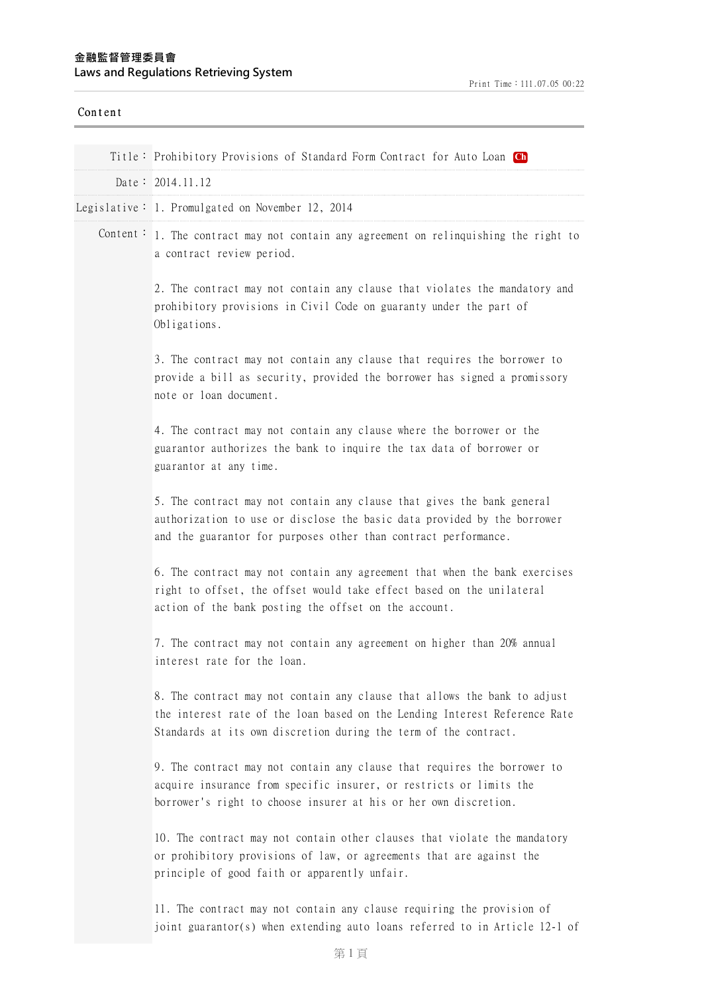| Content  |                                                                                                                                                                                                                             |
|----------|-----------------------------------------------------------------------------------------------------------------------------------------------------------------------------------------------------------------------------|
|          | Title: Prohibitory Provisions of Standard Form Contract for Auto Loan Ch                                                                                                                                                    |
|          | Date: 2014.11.12                                                                                                                                                                                                            |
|          | Legislative: 1. Promulgated on November 12, 2014                                                                                                                                                                            |
| Content: | 1. The contract may not contain any agreement on relinquishing the right to<br>a contract review period.                                                                                                                    |
|          | 2. The contract may not contain any clause that violates the mandatory and<br>prohibitory provisions in Civil Code on guaranty under the part of<br>Obligations.                                                            |
|          | 3. The contract may not contain any clause that requires the borrower to<br>provide a bill as security, provided the borrower has signed a promissory<br>note or loan document.                                             |
|          | 4. The contract may not contain any clause where the borrower or the<br>guarantor authorizes the bank to inquire the tax data of borrower or<br>guarantor at any time.                                                      |
|          | 5. The contract may not contain any clause that gives the bank general<br>authorization to use or disclose the basic data provided by the borrower<br>and the guarantor for purposes other than contract performance.       |
|          | 6. The contract may not contain any agreement that when the bank exercises<br>right to offset, the offset would take effect based on the unilateral<br>action of the bank posting the offset on the account.                |
|          | 7. The contract may not contain any agreement on higher than 20% annual<br>interest rate for the loan.                                                                                                                      |
|          | 8. The contract may not contain any clause that allows the bank to adjust<br>the interest rate of the loan based on the Lending Interest Reference Rate<br>Standards at its own discretion during the term of the contract. |
|          | 9. The contract may not contain any clause that requires the borrower to<br>acquire insurance from specific insurer, or restricts or limits the<br>borrower's right to choose insurer at his or her own discretion.         |
|          | 10. The contract may not contain other clauses that violate the mandatory<br>or prohibitory provisions of law, or agreements that are against the<br>principle of good faith or apparently unfair.                          |
|          | 11. The contract may not contain any clause requiring the provision of<br>joint guarantor(s) when extending auto loans referred to in Article 12-1 of                                                                       |